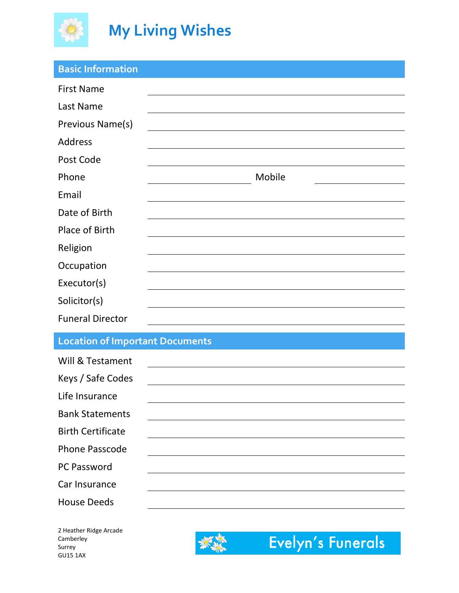

## **Basic Information** First Name Last Name Previous Name(s) Address Post Code Phone Mobile Mobile Email Date of Birth Place of Birth Religion Occupation Executor(s) Solicitor(s) Funeral Director

## **Location of Important Documents**

| Will & Testament         |  |
|--------------------------|--|
| Keys / Safe Codes        |  |
| Life Insurance           |  |
| <b>Bank Statements</b>   |  |
| <b>Birth Certificate</b> |  |
| <b>Phone Passcode</b>    |  |
| <b>PC Password</b>       |  |
| Car Insurance            |  |
| <b>House Deeds</b>       |  |

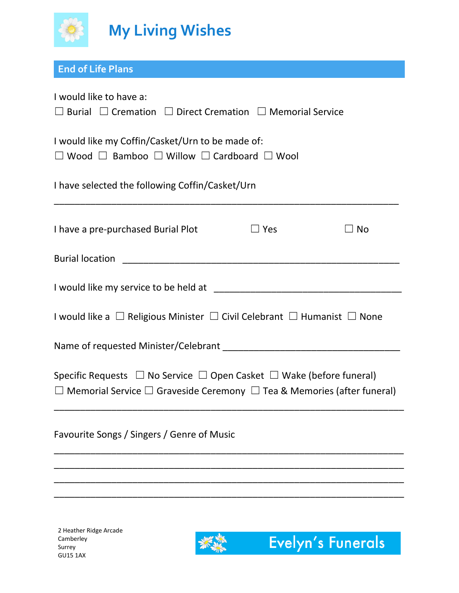

**End of Life Plans**

| I would like to have a:<br>$\Box$ Burial $\Box$ Cremation $\Box$ Direct Cremation $\Box$ Memorial Service                                                                      |            |              |  |  |  |
|--------------------------------------------------------------------------------------------------------------------------------------------------------------------------------|------------|--------------|--|--|--|
| I would like my Coffin/Casket/Urn to be made of:<br>$\Box$ Wood $\Box$ Bamboo $\Box$ Willow $\Box$ Cardboard $\Box$ Wool                                                       |            |              |  |  |  |
| I have selected the following Coffin/Casket/Urn                                                                                                                                |            |              |  |  |  |
| I have a pre-purchased Burial Plot                                                                                                                                             | $\Box$ Yes | $\square$ No |  |  |  |
|                                                                                                                                                                                |            |              |  |  |  |
|                                                                                                                                                                                |            |              |  |  |  |
| I would like a $\Box$ Religious Minister $\Box$ Civil Celebrant $\Box$ Humanist $\Box$ None                                                                                    |            |              |  |  |  |
|                                                                                                                                                                                |            |              |  |  |  |
| Specific Requests $\Box$ No Service $\Box$ Open Casket $\Box$ Wake (before funeral)<br>$\Box$ Memorial Service $\Box$ Graveside Ceremony $\Box$ Tea & Memories (after funeral) |            |              |  |  |  |
| Favourite Songs / Singers / Genre of Music                                                                                                                                     |            |              |  |  |  |
|                                                                                                                                                                                |            |              |  |  |  |
|                                                                                                                                                                                |            |              |  |  |  |
|                                                                                                                                                                                |            |              |  |  |  |
|                                                                                                                                                                                |            |              |  |  |  |